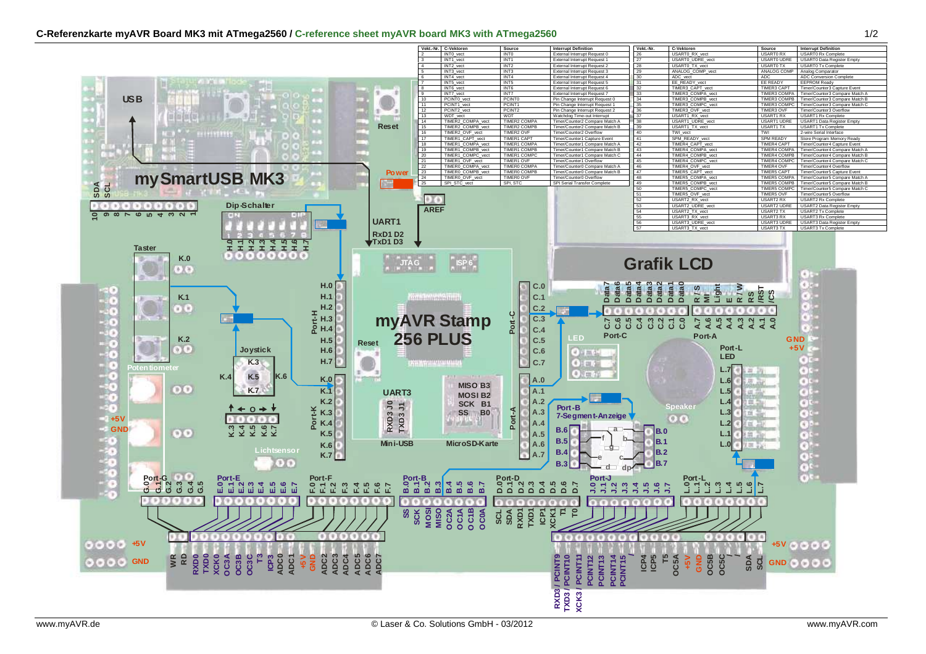